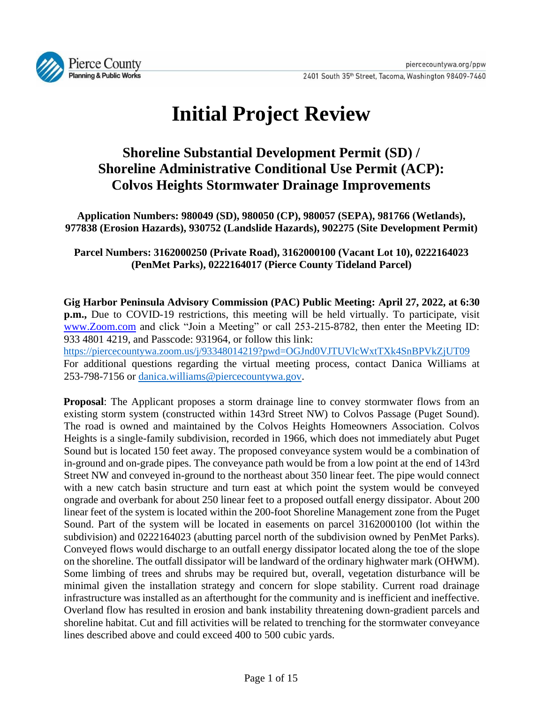

# **Initial Project Review**

# **Shoreline Substantial Development Permit (SD) / Shoreline Administrative Conditional Use Permit (ACP): Colvos Heights Stormwater Drainage Improvements**

**Application Numbers: 980049 (SD), 980050 (CP), 980057 (SEPA), 981766 (Wetlands), 977838 (Erosion Hazards), 930752 (Landslide Hazards), 902275 (Site Development Permit)**

# **Parcel Numbers: 3162000250 (Private Road), 3162000100 (Vacant Lot 10), 0222164023 (PenMet Parks), 0222164017 (Pierce County Tideland Parcel)**

**Gig Harbor Peninsula Advisory Commission (PAC) Public Meeting: April 27, 2022, at 6:30 p.m.,** Due to COVID-19 restrictions, this meeting will be held virtually. To participate, visit [www.Zoom.com](http://www.zoom.com/) and click "Join a Meeting" or call 253-215-8782, then enter the Meeting ID: 933 4801 4219, and Passcode: 931964, or follow this link: <https://piercecountywa.zoom.us/j/93348014219?pwd=OGJnd0VJTUVlcWxtTXk4SnBPVkZjUT09> For additional questions regarding the virtual meeting process, contact Danica Williams at 253-798-7156 or [danica.williams@piercecountywa.gov.](mailto:danica.williams@piercecountywa.gov)

**Proposal**: The Applicant proposes a storm drainage line to convey stormwater flows from an existing storm system (constructed within 143rd Street NW) to Colvos Passage (Puget Sound). The road is owned and maintained by the Colvos Heights Homeowners Association. Colvos Heights is a single-family subdivision, recorded in 1966, which does not immediately abut Puget Sound but is located 150 feet away. The proposed conveyance system would be a combination of in-ground and on-grade pipes. The conveyance path would be from a low point at the end of 143rd Street NW and conveyed in-ground to the northeast about 350 linear feet. The pipe would connect with a new catch basin structure and turn east at which point the system would be conveyed ongrade and overbank for about 250 linear feet to a proposed outfall energy dissipator. About 200 linear feet of the system is located within the 200-foot Shoreline Management zone from the Puget Sound. Part of the system will be located in easements on parcel 3162000100 (lot within the subdivision) and 0222164023 (abutting parcel north of the subdivision owned by PenMet Parks). Conveyed flows would discharge to an outfall energy dissipator located along the toe of the slope on the shoreline. The outfall dissipator will be landward of the ordinary highwater mark (OHWM). Some limbing of trees and shrubs may be required but, overall, vegetation disturbance will be minimal given the installation strategy and concern for slope stability. Current road drainage infrastructure was installed as an afterthought for the community and is inefficient and ineffective. Overland flow has resulted in erosion and bank instability threatening down-gradient parcels and shoreline habitat. Cut and fill activities will be related to trenching for the stormwater conveyance lines described above and could exceed 400 to 500 cubic yards.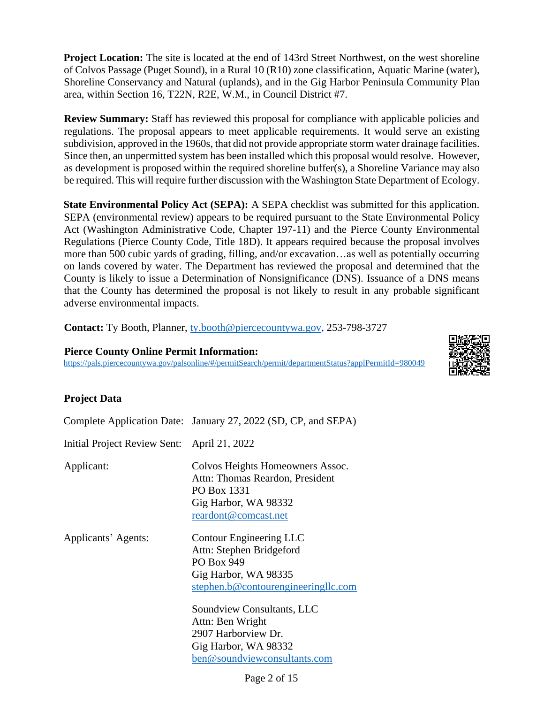**Project Location:** The site is located at the end of 143rd Street Northwest, on the west shoreline of Colvos Passage (Puget Sound), in a Rural 10 (R10) zone classification, Aquatic Marine (water), Shoreline Conservancy and Natural (uplands), and in the Gig Harbor Peninsula Community Plan area, within Section 16, T22N, R2E, W.M., in Council District #7.

**Review Summary:** Staff has reviewed this proposal for compliance with applicable policies and regulations. The proposal appears to meet applicable requirements. It would serve an existing subdivision, approved in the 1960s, that did not provide appropriate storm water drainage facilities. Since then, an unpermitted system has been installed which this proposal would resolve. However, as development is proposed within the required shoreline buffer(s), a Shoreline Variance may also be required. This will require further discussion with the Washington State Department of Ecology.

**State Environmental Policy Act (SEPA):** A SEPA checklist was submitted for this application. SEPA (environmental review) appears to be required pursuant to the State Environmental Policy Act (Washington Administrative Code, Chapter 197-11) and the Pierce County Environmental Regulations (Pierce County Code, Title 18D). It appears required because the proposal involves more than 500 cubic yards of grading, filling, and/or excavation…as well as potentially occurring on lands covered by water. The Department has reviewed the proposal and determined that the County is likely to issue a Determination of Nonsignificance (DNS). Issuance of a DNS means that the County has determined the proposal is not likely to result in any probable significant adverse environmental impacts.

**Contact:** Ty Booth, Planner, [ty.booth@piercecountywa.gov,](mailto:ty.booth@piercecountywa.gov) 253-798-3727

#### **Pierce County Online Permit Information:**

<https://pals.piercecountywa.gov/palsonline/#/permitSearch/permit/departmentStatus?applPermitId=980049>

## **Project Data**

Complete Application Date: January 27, 2022 (SD, CP, and SEPA) Initial Project Review Sent: April 21, 2022 Applicant: Colvos Heights Homeowners Assoc. Attn: Thomas Reardon, President PO Box 1331 Gig Harbor, WA 98332 [reardont@comcast.net](mailto:reardont@comcast.net)

Applicants' Agents: Contour Engineering LLC Attn: Stephen Bridgeford PO Box 949 Gig Harbor, WA 98335 [stephen.b@contourengineeringllc.com](mailto:stephen.b@contourengineeringllc.com)

> Soundview Consultants, LLC Attn: Ben Wright 2907 Harborview Dr. Gig Harbor, WA 98332 [ben@soundviewconsultants.com](mailto:ben@soundviewconsultants.com)

> > Page 2 of 15

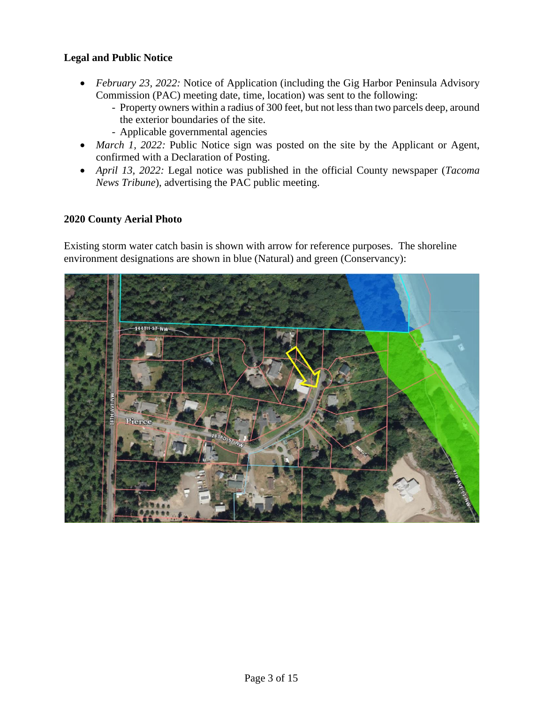#### **Legal and Public Notice**

- *February 23, 2022:* Notice of Application (including the Gig Harbor Peninsula Advisory Commission (PAC) meeting date, time, location) was sent to the following:
	- *-* Property owners within a radius of 300 feet, but not less than two parcels deep, around the exterior boundaries of the site.
	- *-* Applicable governmental agencies
- *March 1, 2022:* Public Notice sign was posted on the site by the Applicant or Agent, confirmed with a Declaration of Posting.
- *April 13, 2022:* Legal notice was published in the official County newspaper (*Tacoma News Tribune*), advertising the PAC public meeting.

#### **2020 County Aerial Photo**

Existing storm water catch basin is shown with arrow for reference purposes. The shoreline environment designations are shown in blue (Natural) and green (Conservancy):

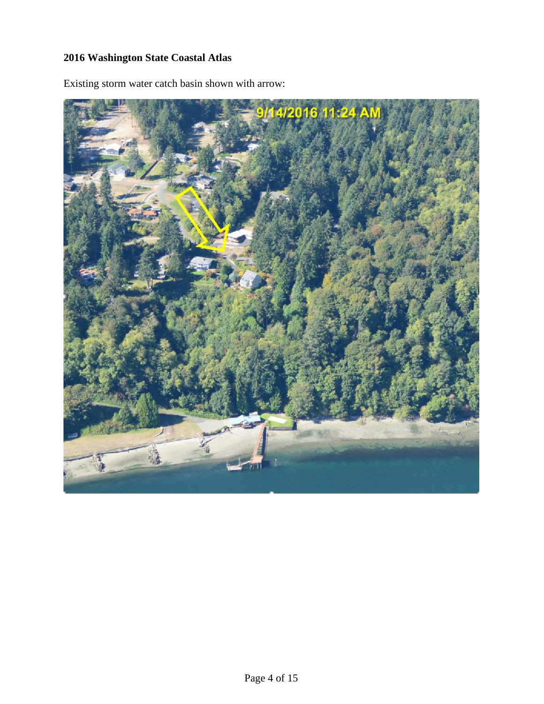# **2016 Washington State Coastal Atlas**

蟮

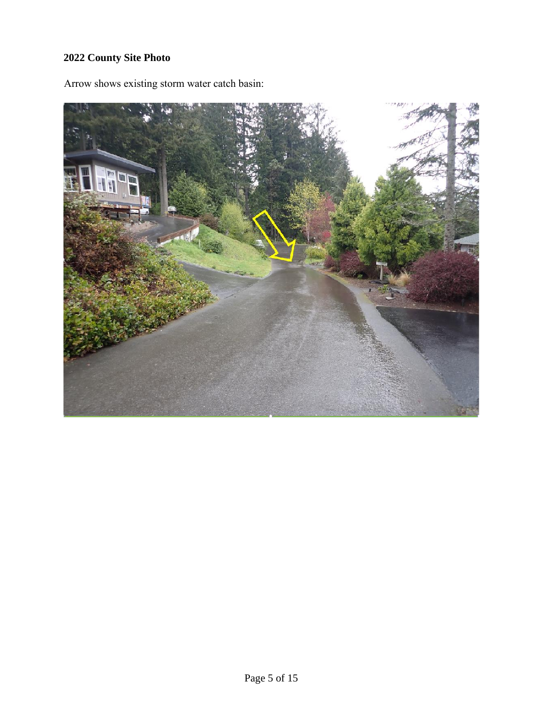# **2022 County Site Photo**



Arrow shows existing storm water catch basin: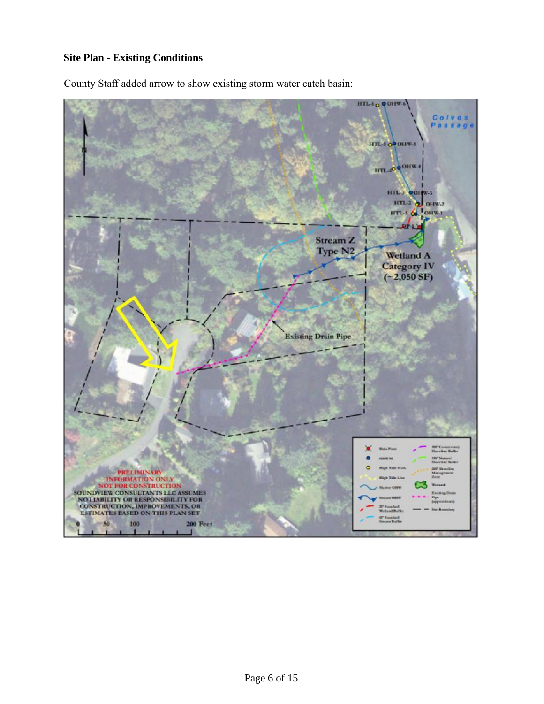## **Site Plan - Existing Conditions**



County Staff added arrow to show existing storm water catch basin: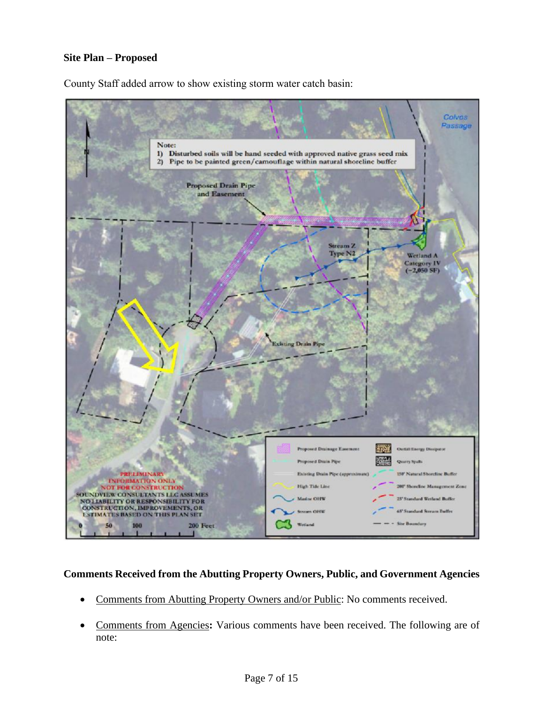## **Site Plan – Proposed**



County Staff added arrow to show existing storm water catch basin:

#### **Comments Received from the Abutting Property Owners, Public, and Government Agencies**

- Comments from Abutting Property Owners and/or Public: No comments received.
- Comments from Agencies**:** Various comments have been received. The following are of note: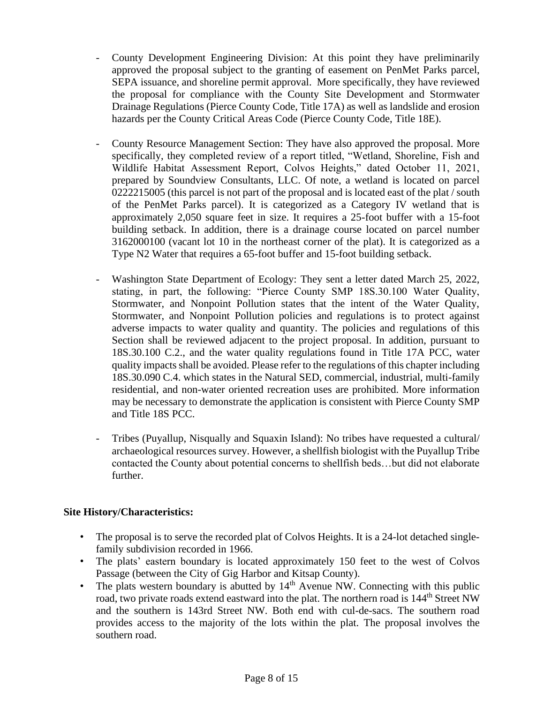- *-* County Development Engineering Division: At this point they have preliminarily approved the proposal subject to the granting of easement on PenMet Parks parcel, SEPA issuance, and shoreline permit approval. More specifically, they have reviewed the proposal for compliance with the County Site Development and Stormwater Drainage Regulations (Pierce County Code, Title 17A) as well as landslide and erosion hazards per the County Critical Areas Code (Pierce County Code, Title 18E).
- *-* County Resource Management Section: They have also approved the proposal. More specifically, they completed review of a report titled, "Wetland, Shoreline, Fish and Wildlife Habitat Assessment Report, Colvos Heights," dated October 11, 2021, prepared by Soundview Consultants, LLC. Of note, a wetland is located on parcel 0222215005 (this parcel is not part of the proposal and is located east of the plat / south of the PenMet Parks parcel). It is categorized as a Category IV wetland that is approximately 2,050 square feet in size. It requires a 25-foot buffer with a 15-foot building setback. In addition, there is a drainage course located on parcel number 3162000100 (vacant lot 10 in the northeast corner of the plat). It is categorized as a Type N2 Water that requires a 65-foot buffer and 15-foot building setback.
- *-* Washington State Department of Ecology: They sent a letter dated March 25, 2022, stating, in part, the following: "Pierce County SMP 18S.30.100 Water Quality, Stormwater, and Nonpoint Pollution states that the intent of the Water Quality, Stormwater, and Nonpoint Pollution policies and regulations is to protect against adverse impacts to water quality and quantity. The policies and regulations of this Section shall be reviewed adjacent to the project proposal. In addition, pursuant to 18S.30.100 C.2., and the water quality regulations found in Title 17A PCC, water quality impacts shall be avoided. Please refer to the regulations of this chapter including 18S.30.090 C.4. which states in the Natural SED, commercial, industrial, multi-family residential, and non-water oriented recreation uses are prohibited. More information may be necessary to demonstrate the application is consistent with Pierce County SMP and Title 18S PCC.
- *-* Tribes (Puyallup, Nisqually and Squaxin Island): No tribes have requested a cultural/ archaeological resources survey. However, a shellfish biologist with the Puyallup Tribe contacted the County about potential concerns to shellfish beds…but did not elaborate further.

## **Site History/Characteristics:**

- The proposal is to serve the recorded plat of Colvos Heights. It is a 24-lot detached singlefamily subdivision recorded in 1966.
- The plats' eastern boundary is located approximately 150 feet to the west of Colvos Passage (between the City of Gig Harbor and Kitsap County).
- The plats western boundary is abutted by  $14<sup>th</sup>$  Avenue NW. Connecting with this public road, two private roads extend eastward into the plat. The northern road is 144<sup>th</sup> Street NW and the southern is 143rd Street NW. Both end with cul-de-sacs. The southern road provides access to the majority of the lots within the plat. The proposal involves the southern road.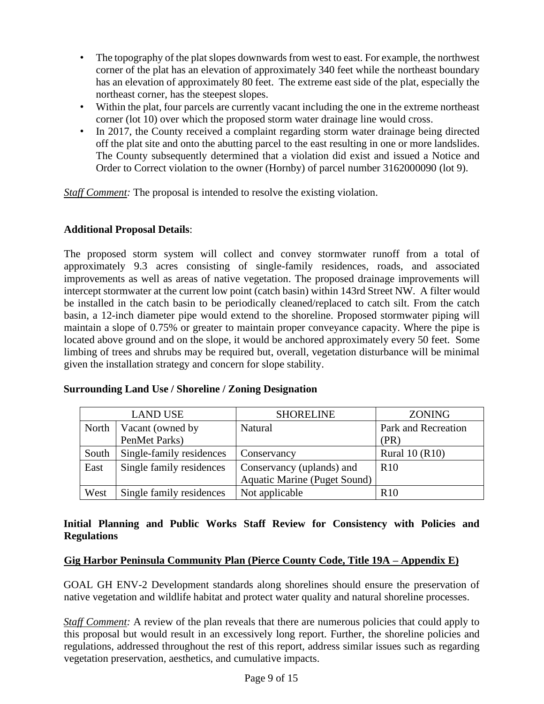- The topography of the plat slopes downwards from west to east. For example, the northwest corner of the plat has an elevation of approximately 340 feet while the northeast boundary has an elevation of approximately 80 feet. The extreme east side of the plat, especially the northeast corner, has the steepest slopes.
- Within the plat, four parcels are currently vacant including the one in the extreme northeast corner (lot 10) over which the proposed storm water drainage line would cross.
- In 2017, the County received a complaint regarding storm water drainage being directed off the plat site and onto the abutting parcel to the east resulting in one or more landslides. The County subsequently determined that a violation did exist and issued a Notice and Order to Correct violation to the owner (Hornby) of parcel number 3162000090 (lot 9).

*Staff Comment:* The proposal is intended to resolve the existing violation.

#### **Additional Proposal Details**:

The proposed storm system will collect and convey stormwater runoff from a total of approximately 9.3 acres consisting of single-family residences, roads, and associated improvements as well as areas of native vegetation. The proposed drainage improvements will intercept stormwater at the current low point (catch basin) within 143rd Street NW. A filter would be installed in the catch basin to be periodically cleaned/replaced to catch silt. From the catch basin, a 12-inch diameter pipe would extend to the shoreline. Proposed stormwater piping will maintain a slope of 0.75% or greater to maintain proper conveyance capacity. Where the pipe is located above ground and on the slope, it would be anchored approximately every 50 feet. Some limbing of trees and shrubs may be required but, overall, vegetation disturbance will be minimal given the installation strategy and concern for slope stability.

| <b>LAND USE</b> |                          | <b>SHORELINE</b>                    | <b>ZONING</b>         |
|-----------------|--------------------------|-------------------------------------|-----------------------|
| North           | Vacant (owned by         | Natural                             | Park and Recreation   |
|                 | PenMet Parks)            |                                     | (PR)                  |
| South           | Single-family residences | Conservancy                         | <b>Rural 10 (R10)</b> |
| East            | Single family residences | Conservancy (uplands) and           | R <sub>10</sub>       |
|                 |                          | <b>Aquatic Marine (Puget Sound)</b> |                       |
| West            | Single family residences | Not applicable                      | R10                   |

#### **Surrounding Land Use / Shoreline / Zoning Designation**

## **Initial Planning and Public Works Staff Review for Consistency with Policies and Regulations**

#### **Gig Harbor Peninsula Community Plan (Pierce County Code, Title 19A – Appendix E)**

GOAL GH ENV-2 Development standards along shorelines should ensure the preservation of native vegetation and wildlife habitat and protect water quality and natural shoreline processes.

*Staff Comment:* A review of the plan reveals that there are numerous policies that could apply to this proposal but would result in an excessively long report. Further, the shoreline policies and regulations, addressed throughout the rest of this report, address similar issues such as regarding vegetation preservation, aesthetics, and cumulative impacts.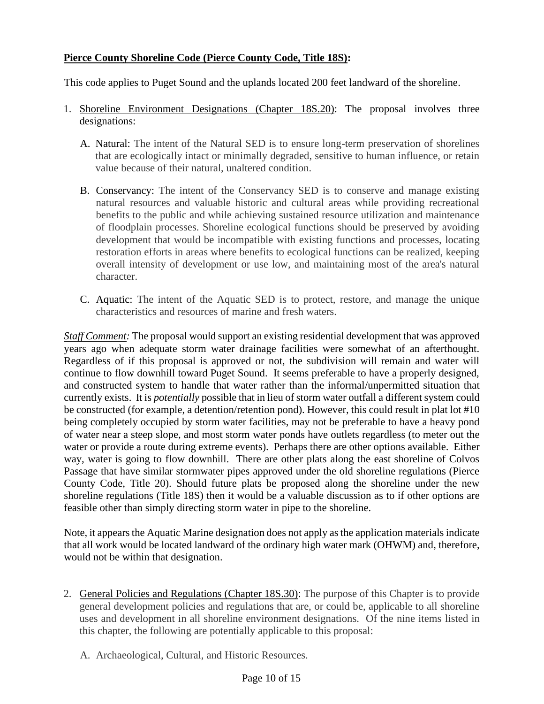# **Pierce County Shoreline Code (Pierce County Code, Title 18S):**

This code applies to Puget Sound and the uplands located 200 feet landward of the shoreline.

- 1. Shoreline Environment Designations (Chapter 18S.20): The proposal involves three designations:
	- A. Natural: The intent of the Natural SED is to ensure long-term preservation of shorelines that are ecologically intact or minimally degraded, sensitive to human influence, or retain value because of their natural, unaltered condition.
	- B. Conservancy: The intent of the Conservancy SED is to conserve and manage existing natural resources and valuable historic and cultural areas while providing recreational benefits to the public and while achieving sustained resource utilization and maintenance of floodplain processes. Shoreline ecological functions should be preserved by avoiding development that would be incompatible with existing functions and processes, locating restoration efforts in areas where benefits to ecological functions can be realized, keeping overall intensity of development or use low, and maintaining most of the area's natural character.
	- C. Aquatic: The intent of the Aquatic SED is to protect, restore, and manage the unique characteristics and resources of marine and fresh waters.

*Staff Comment:* The proposal would support an existing residential development that was approved years ago when adequate storm water drainage facilities were somewhat of an afterthought. Regardless of if this proposal is approved or not, the subdivision will remain and water will continue to flow downhill toward Puget Sound. It seems preferable to have a properly designed, and constructed system to handle that water rather than the informal/unpermitted situation that currently exists. It is *potentially* possible that in lieu of storm water outfall a different system could be constructed (for example, a detention/retention pond). However, this could result in plat lot #10 being completely occupied by storm water facilities, may not be preferable to have a heavy pond of water near a steep slope, and most storm water ponds have outlets regardless (to meter out the water or provide a route during extreme events). Perhaps there are other options available. Either way, water is going to flow downhill. There are other plats along the east shoreline of Colvos Passage that have similar stormwater pipes approved under the old shoreline regulations (Pierce County Code, Title 20). Should future plats be proposed along the shoreline under the new shoreline regulations (Title 18S) then it would be a valuable discussion as to if other options are feasible other than simply directing storm water in pipe to the shoreline.

Note, it appears the Aquatic Marine designation does not apply as the application materials indicate that all work would be located landward of the ordinary high water mark (OHWM) and, therefore, would not be within that designation.

- 2. General Policies and Regulations (Chapter 18S.30): The purpose of this Chapter is to provide general development policies and regulations that are, or could be, applicable to all shoreline uses and development in all shoreline environment designations. Of the nine items listed in this chapter, the following are potentially applicable to this proposal:
	- A. Archaeological, Cultural, and Historic Resources.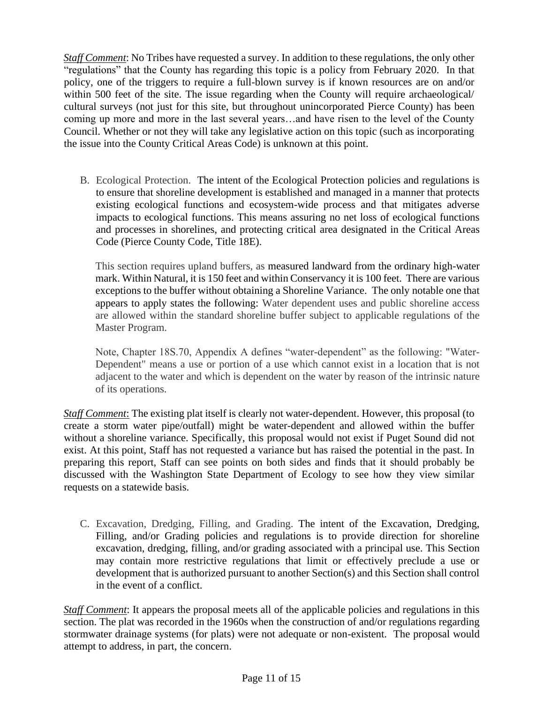*Staff Comment*: No Tribes have requested a survey. In addition to these regulations, the only other "regulations" that the County has regarding this topic is a policy from February 2020. In that policy, one of the triggers to require a full-blown survey is if known resources are on and/or within 500 feet of the site. The issue regarding when the County will require archaeological/ cultural surveys (not just for this site, but throughout unincorporated Pierce County) has been coming up more and more in the last several years…and have risen to the level of the County Council. Whether or not they will take any legislative action on this topic (such as incorporating the issue into the County Critical Areas Code) is unknown at this point.

B. Ecological Protection. The intent of the Ecological Protection policies and regulations is to ensure that shoreline development is established and managed in a manner that protects existing ecological functions and ecosystem-wide process and that mitigates adverse impacts to ecological functions. This means assuring no net loss of ecological functions and processes in shorelines, and protecting critical area designated in the Critical Areas Code (Pierce County Code, Title 18E).

This section requires upland buffers, as measured landward from the ordinary high-water mark. Within Natural, it is 150 feet and within Conservancy it is 100 feet. There are various exceptions to the buffer without obtaining a Shoreline Variance. The only notable one that appears to apply states the following: Water dependent uses and public shoreline access are allowed within the standard shoreline buffer subject to applicable regulations of the Master Program.

Note, Chapter 18S.70, Appendix A defines "water-dependent" as the following: "Water-Dependent" means a use or portion of a use which cannot exist in a location that is not adjacent to the water and which is dependent on the water by reason of the intrinsic nature of its operations.

*Staff Comment*: The existing plat itself is clearly not water-dependent. However, this proposal (to create a storm water pipe/outfall) might be water-dependent and allowed within the buffer without a shoreline variance. Specifically, this proposal would not exist if Puget Sound did not exist. At this point, Staff has not requested a variance but has raised the potential in the past. In preparing this report, Staff can see points on both sides and finds that it should probably be discussed with the Washington State Department of Ecology to see how they view similar requests on a statewide basis.

C. Excavation, Dredging, Filling, and Grading. The intent of the Excavation, Dredging, Filling, and/or Grading policies and regulations is to provide direction for shoreline excavation, dredging, filling, and/or grading associated with a principal use. This Section may contain more restrictive regulations that limit or effectively preclude a use or development that is authorized pursuant to another Section(s) and this Section shall control in the event of a conflict.

*Staff Comment*: It appears the proposal meets all of the applicable policies and regulations in this section. The plat was recorded in the 1960s when the construction of and/or regulations regarding stormwater drainage systems (for plats) were not adequate or non-existent. The proposal would attempt to address, in part, the concern.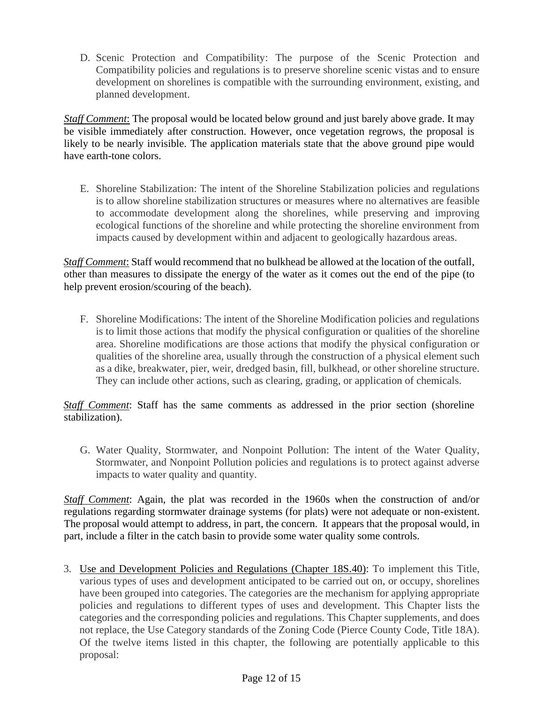D. Scenic Protection and Compatibility: The purpose of the Scenic Protection and Compatibility policies and regulations is to preserve shoreline scenic vistas and to ensure development on shorelines is compatible with the surrounding environment, existing, and planned development.

*Staff Comment*: The proposal would be located below ground and just barely above grade. It may be visible immediately after construction. However, once vegetation regrows, the proposal is likely to be nearly invisible. The application materials state that the above ground pipe would have earth-tone colors.

E. Shoreline Stabilization: The intent of the Shoreline Stabilization policies and regulations is to allow shoreline stabilization structures or measures where no alternatives are feasible to accommodate development along the shorelines, while preserving and improving ecological functions of the shoreline and while protecting the shoreline environment from impacts caused by development within and adjacent to geologically hazardous areas.

*Staff Comment*: Staff would recommend that no bulkhead be allowed at the location of the outfall, other than measures to dissipate the energy of the water as it comes out the end of the pipe (to help prevent erosion/scouring of the beach).

F. Shoreline Modifications: The intent of the Shoreline Modification policies and regulations is to limit those actions that modify the physical configuration or qualities of the shoreline area. Shoreline modifications are those actions that modify the physical configuration or qualities of the shoreline area, usually through the construction of a physical element such as a dike, breakwater, pier, weir, dredged basin, fill, bulkhead, or other shoreline structure. They can include other actions, such as clearing, grading, or application of chemicals.

*Staff Comment*: Staff has the same comments as addressed in the prior section (shoreline stabilization).

G. Water Quality, Stormwater, and Nonpoint Pollution: The intent of the Water Quality, Stormwater, and Nonpoint Pollution policies and regulations is to protect against adverse impacts to water quality and quantity.

*Staff Comment*: Again, the plat was recorded in the 1960s when the construction of and/or regulations regarding stormwater drainage systems (for plats) were not adequate or non-existent. The proposal would attempt to address, in part, the concern. It appears that the proposal would, in part, include a filter in the catch basin to provide some water quality some controls.

3. Use and Development Policies and Regulations (Chapter 18S.40): To implement this Title, various types of uses and development anticipated to be carried out on, or occupy, shorelines have been grouped into categories. The categories are the mechanism for applying appropriate policies and regulations to different types of uses and development. This Chapter lists the categories and the corresponding policies and regulations. This Chapter supplements, and does not replace, the Use Category standards of the Zoning Code (Pierce County Code, Title 18A). Of the twelve items listed in this chapter, the following are potentially applicable to this proposal: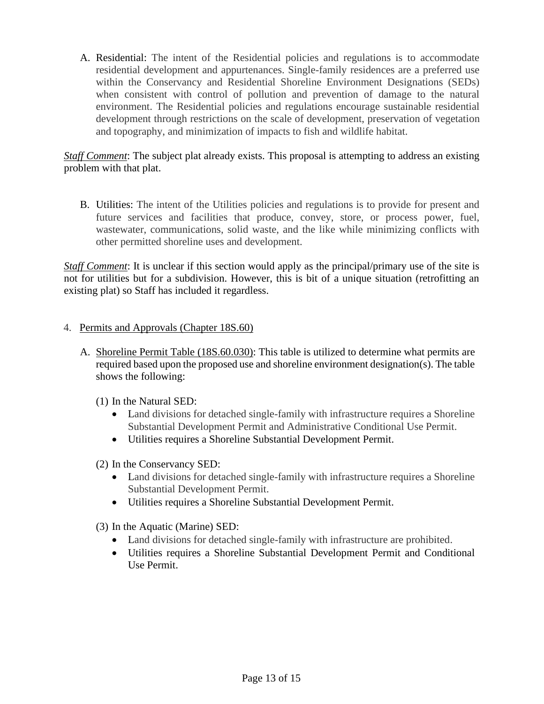A. Residential: The intent of the Residential policies and regulations is to accommodate residential development and appurtenances. Single-family residences are a preferred use within the Conservancy and Residential Shoreline Environment Designations (SEDs) when consistent with control of pollution and prevention of damage to the natural environment. The Residential policies and regulations encourage sustainable residential development through restrictions on the scale of development, preservation of vegetation and topography, and minimization of impacts to fish and wildlife habitat.

*Staff Comment*: The subject plat already exists. This proposal is attempting to address an existing problem with that plat.

B. Utilities: The intent of the Utilities policies and regulations is to provide for present and future services and facilities that produce, convey, store, or process power, fuel, wastewater, communications, solid waste, and the like while minimizing conflicts with other permitted shoreline uses and development.

*Staff Comment*: It is unclear if this section would apply as the principal/primary use of the site is not for utilities but for a subdivision. However, this is bit of a unique situation (retrofitting an existing plat) so Staff has included it regardless.

## 4. Permits and Approvals (Chapter 18S.60)

- A. Shoreline Permit Table (18S.60.030): This table is utilized to determine what permits are required based upon the proposed use and shoreline environment designation(s). The table shows the following:
	- (1) In the Natural SED:
		- Land divisions for detached single-family with infrastructure requires a Shoreline Substantial Development Permit and Administrative Conditional Use Permit.
		- Utilities requires a Shoreline Substantial Development Permit.
	- (2) In the Conservancy SED:
		- Land divisions for detached single-family with infrastructure requires a Shoreline Substantial Development Permit.
		- Utilities requires a Shoreline Substantial Development Permit.
	- (3) In the Aquatic (Marine) SED:
		- Land divisions for detached single-family with infrastructure are prohibited.
		- Utilities requires a Shoreline Substantial Development Permit and Conditional Use Permit.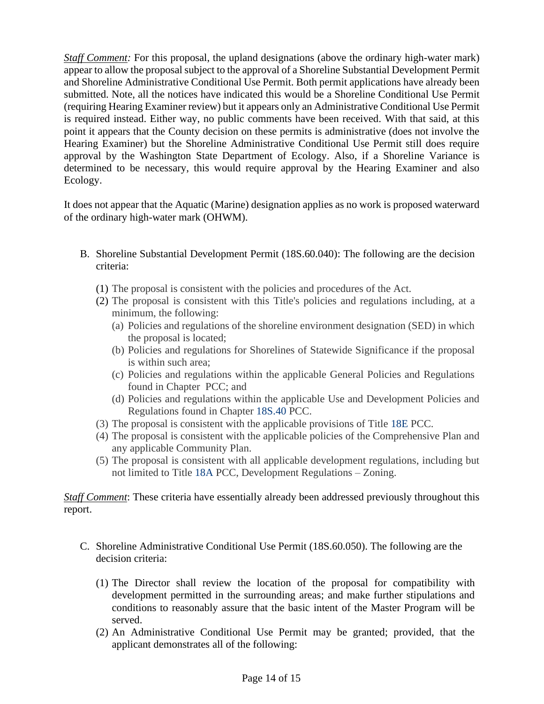*Staff Comment:* For this proposal, the upland designations (above the ordinary high-water mark) appear to allow the proposal subject to the approval of a Shoreline Substantial Development Permit and Shoreline Administrative Conditional Use Permit. Both permit applications have already been submitted. Note, all the notices have indicated this would be a Shoreline Conditional Use Permit (requiring Hearing Examiner review) but it appears only an Administrative Conditional Use Permit is required instead. Either way, no public comments have been received. With that said, at this point it appears that the County decision on these permits is administrative (does not involve the Hearing Examiner) but the Shoreline Administrative Conditional Use Permit still does require approval by the Washington State Department of Ecology. Also, if a Shoreline Variance is determined to be necessary, this would require approval by the Hearing Examiner and also Ecology.

It does not appear that the Aquatic (Marine) designation applies as no work is proposed waterward of the ordinary high-water mark (OHWM).

- B. Shoreline Substantial Development Permit (18S.60.040): The following are the decision criteria:
	- (1) The proposal is consistent with the policies and procedures of the Act.
	- (2) The proposal is consistent with this Title's policies and regulations including, at a minimum, the following:
		- (a) Policies and regulations of the shoreline environment designation (SED) in which the proposal is located;
		- (b) Policies and regulations for Shorelines of Statewide Significance if the proposal is within such area;
		- (c) Policies and regulations within the applicable General Policies and Regulations found in Chapter PCC; and
		- (d) Policies and regulations within the applicable Use and Development Policies and Regulations found in Chapter [18S.40](https://www.codepublishing.com/WA/PierceCounty/#!/PierceCounty18S/PierceCounty18S40.html#18S.40) PCC.
	- (3) The proposal is consistent with the applicable provisions of Title [18E](https://www.codepublishing.com/WA/PierceCounty/#!/PierceCounty18E/PierceCounty18E.html#18E) PCC.
	- (4) The proposal is consistent with the applicable policies of the Comprehensive Plan and any applicable Community Plan.
	- (5) The proposal is consistent with all applicable development regulations, including but not limited to Title [18A](https://www.codepublishing.com/WA/PierceCounty/#!/PierceCounty18A/PierceCounty18A.html#18A) PCC, Development Regulations – Zoning.

*Staff Comment*: These criteria have essentially already been addressed previously throughout this report.

- C. Shoreline Administrative Conditional Use Permit (18S.60.050). The following are the decision criteria:
	- (1) The Director shall review the location of the proposal for compatibility with development permitted in the surrounding areas; and make further stipulations and conditions to reasonably assure that the basic intent of the Master Program will be served.
	- (2) An Administrative Conditional Use Permit may be granted; provided, that the applicant demonstrates all of the following: